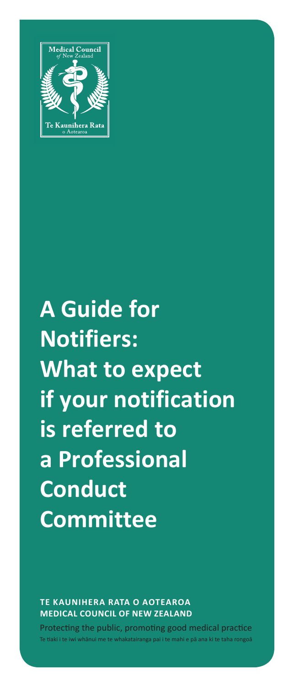

# **A Guide for Notifiers: What to expect if your notification is referred to a Professional Conduct Committee**

**TE KAUNIHERA RATA O AOTEAROA MEDICAL COUNCIL OF NEW ZEALAND**

Protecting the public, promoting good medical practice ai i te mahi e nā ana ki te taha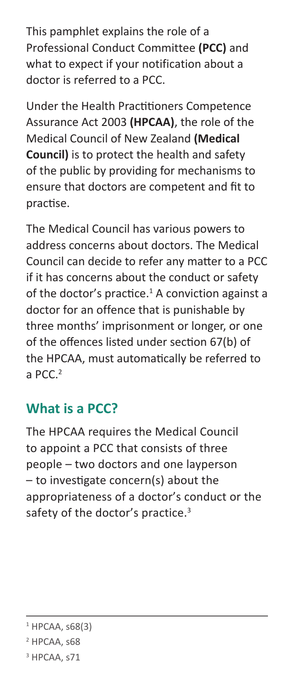This pamphlet explains the role of a Professional Conduct Committee **(PCC)** and what to expect if your notification about a doctor is referred to a PCC.

Under the Health Practitioners Competence Assurance Act 2003 **(HPCAA)**, the role of the Medical Council of New Zealand **(Medical Council)** is to protect the health and safety of the public by providing for mechanisms to ensure that doctors are competent and fit to practise.

The Medical Council has various powers to address concerns about doctors. The Medical Council can decide to refer any matter to a PCC if it has concerns about the conduct or safety of the doctor's practice. $1$  A conviction against a doctor for an offence that is punishable by three months' imprisonment or longer, or one of the offences listed under section 67(b) of the HPCAA, must automatically be referred to a  $PCC<sup>2</sup>$ 

#### **What is a PCC?**

The HPCAA requires the Medical Council to appoint a PCC that consists of three people – two doctors and one layperson – to investigate concern(s) about the appropriateness of a doctor's conduct or the safety of the doctor's practice.<sup>3</sup>

 $1$  HPCAA, s68(3)

<sup>&</sup>lt;sup>2</sup> HPCAA, s68

<sup>&</sup>lt;sup>3</sup> HPCAA, s71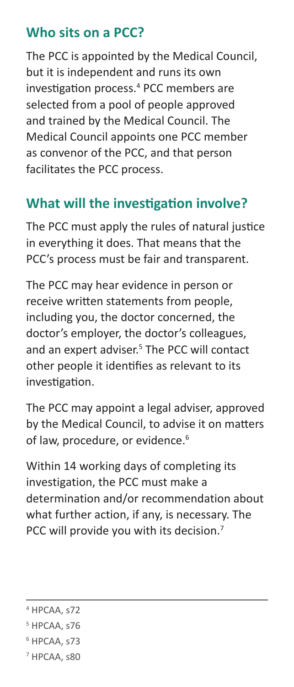#### **Who sits on a PCC?**

The PCC is appointed by the Medical Council, but it is independent and runs its own investigation process.<sup>4</sup> PCC members are selected from a pool of people approved and trained by the Medical Council. The Medical Council appoints one PCC member as convenor of the PCC, and that person facilitates the PCC process.

# **What will the investigation involve?**

The PCC must apply the rules of natural justice in everything it does. That means that the PCC's process must be fair and transparent.

The PCC may hear evidence in person or receive written statements from people, including you, the doctor concerned, the doctor's employer, the doctor's colleagues, and an expert adviser. 5 The PCC will contact other people it identifies as relevant to its investigation.

The PCC may appoint a legal adviser, approved by the Medical Council, to advise it on matters of law, procedure, or evidence.<sup>6</sup>

Within 14 working days of completing its investigation, the PCC must make a determination and/or recommendation about what further action, if any, is necessary. The PCC will provide you with its decision.<sup>7</sup>

- 4 HPCAA, s72
- 5 HPCAA, s76
- 6 HPCAA, s73
- 7 HPCAA, s80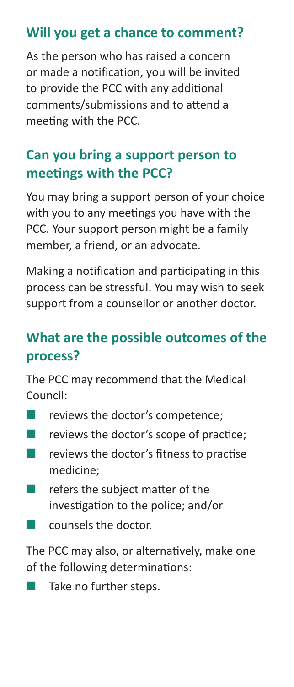# **Will you get a chance to comment?**

As the person who has raised a concern or made a notification, you will be invited to provide the PCC with any additional comments/submissions and to attend a meeting with the PCC.

# **Can you bring a support person to meetings with the PCC?**

You may bring a support person of your choice with you to any meetings you have with the PCC. Your support person might be a family member, a friend, or an advocate.

Making a notification and participating in this process can be stressful. You may wish to seek support from a counsellor or another doctor.

### **What are the possible outcomes of the process?**

The PCC may recommend that the Medical Council:

- **T** reviews the doctor's competence:
- reviews the doctor's scope of practice;
- reviews the doctor's fitness to practise medicine;
- refers the subject matter of the investigation to the police; and/or
- counsels the doctor.

The PCC may also, or alternatively, make one of the following determinations:

Take no further steps.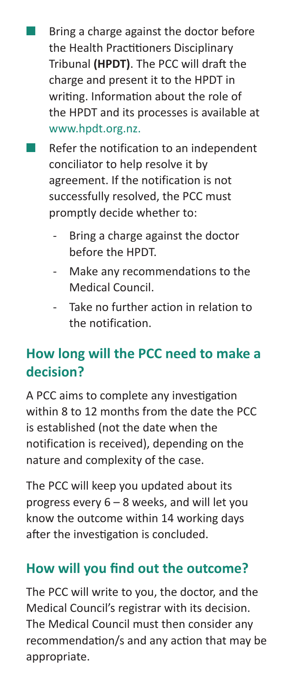Bring a charge against the doctor before the Health Practitioners Disciplinary Tribunal **(HPDT)**. The PCC will draft the charge and present it to the HPDT in writing. Information about the role of the HPDT and its processes is available at [www.hpdt.org.nz.](http://www.hpdt.org.nz)

- Refer the notification to an independent conciliator to help resolve it by agreement. If the notification is not successfully resolved, the PCC must promptly decide whether to:
	- Bring a charge against the doctor before the HPDT.
	- Make any recommendations to the Medical Council.
	- Take no further action in relation to the notification.

# **How long will the PCC need to make a decision?**

A PCC aims to complete any investigation within 8 to 12 months from the date the PCC is established (not the date when the notification is received), depending on the nature and complexity of the case.

The PCC will keep you updated about its progress every 6 – 8 weeks, and will let you know the outcome within 14 working days after the investigation is concluded.

#### **How will you find out the outcome?**

The PCC will write to you, the doctor, and the Medical Council's registrar with its decision. The Medical Council must then consider any recommendation/s and any action that may be appropriate.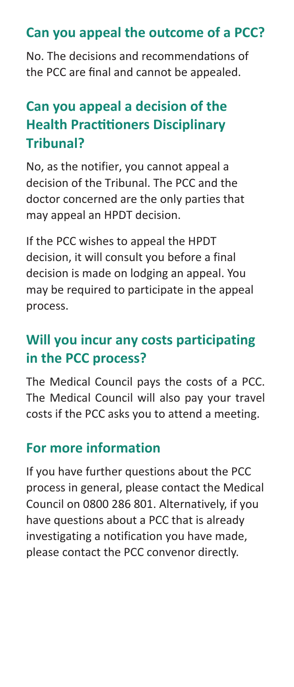#### **Can you appeal the outcome of a PCC?**

No. The decisions and recommendations of the PCC are final and cannot be appealed.

# **Can you appeal a decision of the Health Practitioners Disciplinary Tribunal?**

No, as the notifier, you cannot appeal a decision of the Tribunal. The PCC and the doctor concerned are the only parties that may appeal an HPDT decision.

If the PCC wishes to appeal the HPDT decision, it will consult you before a final decision is made on lodging an appeal. You may be required to participate in the appeal process.

# **Will you incur any costs participating in the PCC process?**

The Medical Council pays the costs of a PCC. The Medical Council will also pay your travel costs if the PCC asks you to attend a meeting.

#### **For more information**

If you have further questions about the PCC process in general, please contact the Medical Council on 0800 286 801. Alternatively, if you have questions about a PCC that is already investigating a notification you have made, please contact the PCC convenor directly.